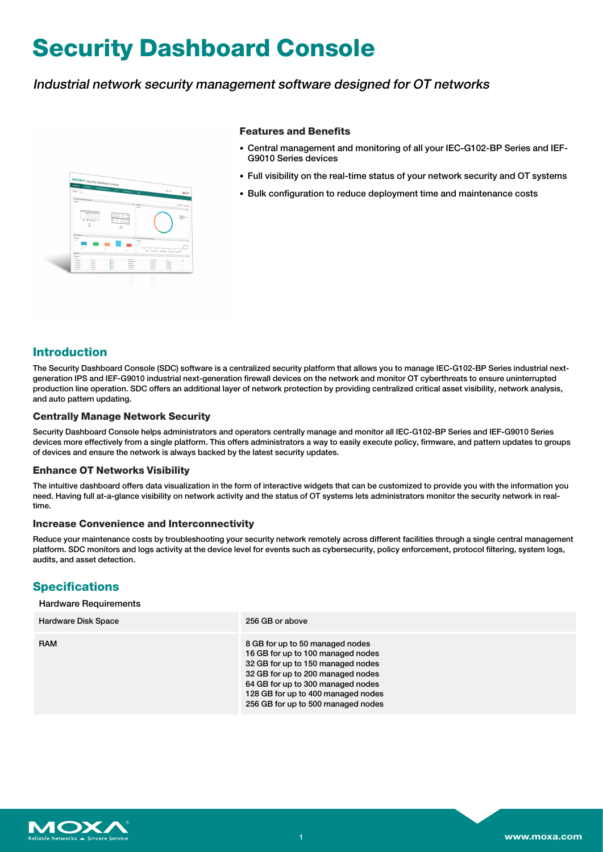# **Security Dashboard Console**

# Industrial network security management software designed for OT networks



### **Features and Benefits**

- Central management and monitoring of all your IEC-G102-BP Series and IEF-G9010 Series devices
- Full visibility on the real-time status of your network security and OT systems
- Bulk configuration to reduce deployment time and maintenance costs

# **Introduction**

The Security Dashboard Console (SDC) software is a centralized security platform that allows you to manage IEC-G102-BP Series industrial nextgeneration IPS and IEF-G9010 industrial next-generation firewall devices on the network and monitor OT cyberthreats to ensure uninterrupted production line operation. SDC offers an additional layer of network protection by providing centralized critical asset visibility, network analysis, and auto pattern updating.

### **Centrally Manage Network Security**

Security Dashboard Console helps administrators and operators centrally manage and monitor all IEC-G102-BP Series and IEF-G9010 Series devices more effectively from a single platform. This offers administrators a way to easily execute policy, firmware, and pattern updates to groups of devices and ensure the network is always backed by the latest security updates.

### **Enhance OT Networks Visibility**

The intuitive dashboard offers data visualization in the form of interactive widgets that can be customized to provide you with the information you need. Having full at-a-glance visibility on network activity and the status of OT systems lets administrators monitor the security network in realtime.

### **Increase Convenience and Interconnectivity**

Reduce your maintenance costs by troubleshooting your security network remotely across different facilities through a single central management platform. SDC monitors and logs activity at the device level for events such as cybersecurity, policy enforcement, protocol filtering, system logs, audits, and asset detection.

# **Specifications**

#### Hardware Requirements

| <b>Hardware Disk Space</b> | 256 GB or above                                                                                                                                                                                                                                                 |
|----------------------------|-----------------------------------------------------------------------------------------------------------------------------------------------------------------------------------------------------------------------------------------------------------------|
| <b>RAM</b>                 | 8 GB for up to 50 managed nodes<br>16 GB for up to 100 managed nodes<br>32 GB for up to 150 managed nodes<br>32 GB for up to 200 managed nodes<br>64 GB for up to 300 managed nodes<br>128 GB for up to 400 managed nodes<br>256 GB for up to 500 managed nodes |